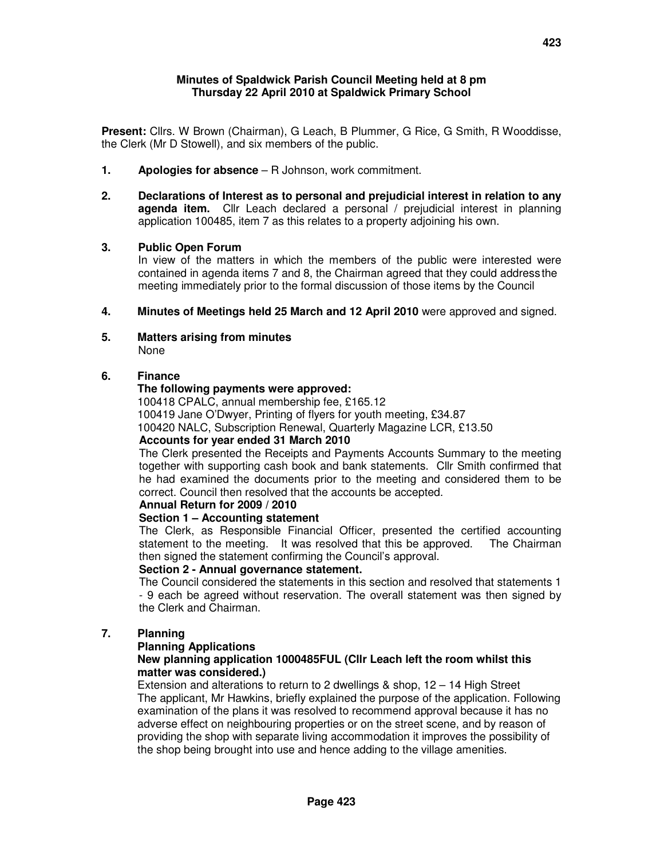### **Minutes of Spaldwick Parish Council Meeting held at 8 pm Thursday 22 April 2010 at Spaldwick Primary School**

**Present:** Cllrs. W Brown (Chairman), G Leach, B Plummer, G Rice, G Smith, R Wooddisse, the Clerk (Mr D Stowell), and six members of the public.

- **1. Apologies for absence**  R Johnson, work commitment.
- **2. Declarations of Interest as to personal and prejudicial interest in relation to any agenda item.** Cllr Leach declared a personal / prejudicial interest in planning application 100485, item 7 as this relates to a property adjoining his own.

### **3. Public Open Forum**

In view of the matters in which the members of the public were interested were contained in agenda items 7 and 8, the Chairman agreed that they could address the meeting immediately prior to the formal discussion of those items by the Council

- **4. Minutes of Meetings held 25 March and 12 April 2010** were approved and signed.
- **5. Matters arising from minutes** None

## **6. Finance**

### **The following payments were approved:**

100418 CPALC, annual membership fee, £165.12 100419 Jane O'Dwyer, Printing of flyers for youth meeting, £34.87 100420 NALC, Subscription Renewal, Quarterly Magazine LCR, £13.50  **Accounts for year ended 31 March 2010** 

The Clerk presented the Receipts and Payments Accounts Summary to the meeting together with supporting cash book and bank statements. Cllr Smith confirmed that he had examined the documents prior to the meeting and considered them to be correct. Council then resolved that the accounts be accepted.

# **Annual Return for 2009 / 2010**

#### **Section 1 – Accounting statement**

The Clerk, as Responsible Financial Officer, presented the certified accounting statement to the meeting. It was resolved that this be approved. The Chairman then signed the statement confirming the Council's approval.

### **Section 2 - Annual governance statement.**

The Council considered the statements in this section and resolved that statements 1 - 9 each be agreed without reservation. The overall statement was then signed by the Clerk and Chairman.

## **7. Planning**

#### **Planning Applications**

### **New planning application 1000485FUL (Cllr Leach left the room whilst this matter was considered.)**

Extension and alterations to return to 2 dwellings & shop, 12 – 14 High Street The applicant, Mr Hawkins, briefly explained the purpose of the application. Following examination of the plans it was resolved to recommend approval because it has no adverse effect on neighbouring properties or on the street scene, and by reason of providing the shop with separate living accommodation it improves the possibility of the shop being brought into use and hence adding to the village amenities.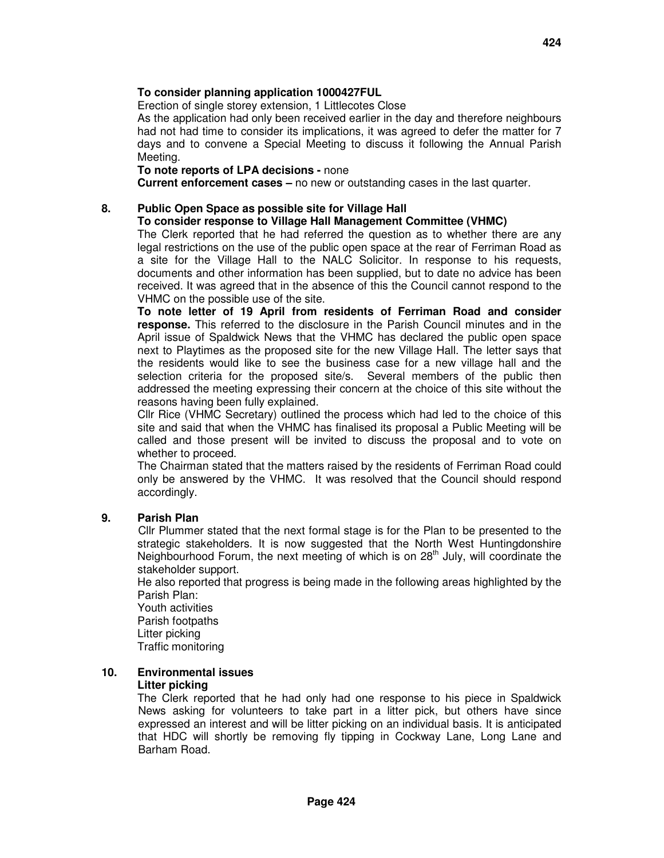## **To consider planning application 1000427FUL**

Erection of single storey extension, 1 Littlecotes Close

 As the application had only been received earlier in the day and therefore neighbours had not had time to consider its implications, it was agreed to defer the matter for 7 days and to convene a Special Meeting to discuss it following the Annual Parish Meeting.

#### **To note reports of LPA decisions -** none

 **Current enforcement cases –** no new or outstanding cases in the last quarter.

#### **8. Public Open Space as possible site for Village Hall**

### **To consider response to Village Hall Management Committee (VHMC)**

The Clerk reported that he had referred the question as to whether there are any legal restrictions on the use of the public open space at the rear of Ferriman Road as a site for the Village Hall to the NALC Solicitor. In response to his requests, documents and other information has been supplied, but to date no advice has been received. It was agreed that in the absence of this the Council cannot respond to the VHMC on the possible use of the site.

 **To note letter of 19 April from residents of Ferriman Road and consider response.** This referred to the disclosure in the Parish Council minutes and in the April issue of Spaldwick News that the VHMC has declared the public open space next to Playtimes as the proposed site for the new Village Hall. The letter says that the residents would like to see the business case for a new village hall and the selection criteria for the proposed site/s. Several members of the public then addressed the meeting expressing their concern at the choice of this site without the reasons having been fully explained.

 Cllr Rice (VHMC Secretary) outlined the process which had led to the choice of this site and said that when the VHMC has finalised its proposal a Public Meeting will be called and those present will be invited to discuss the proposal and to vote on whether to proceed.

 The Chairman stated that the matters raised by the residents of Ferriman Road could only be answered by the VHMC. It was resolved that the Council should respond accordingly.

### **9. Parish Plan**

Cllr Plummer stated that the next formal stage is for the Plan to be presented to the strategic stakeholders. It is now suggested that the North West Huntingdonshire Neighbourhood Forum, the next meeting of which is on 28<sup>th</sup> July, will coordinate the stakeholder support.

 He also reported that progress is being made in the following areas highlighted by the Parish Plan:

 Youth activities Parish footpaths Litter picking Traffic monitoring

#### **10. Environmental issues Litter picking**

The Clerk reported that he had only had one response to his piece in Spaldwick News asking for volunteers to take part in a litter pick, but others have since expressed an interest and will be litter picking on an individual basis. It is anticipated that HDC will shortly be removing fly tipping in Cockway Lane, Long Lane and Barham Road.